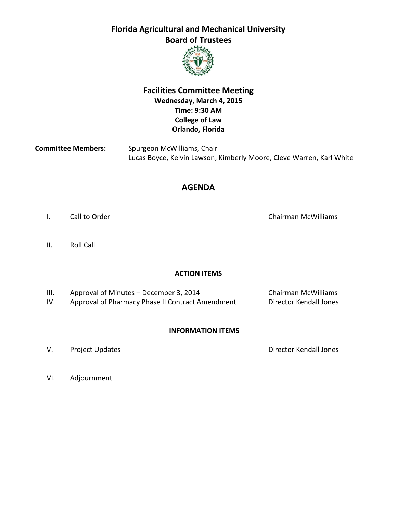

## **Facilities Committee Meeting Wednesday, March 4, 2015 Time: 9:30 AM College of Law Orlando, Florida**

| <b>Committee Members:</b> | Spurgeon McWilliams, Chair                                           |  |
|---------------------------|----------------------------------------------------------------------|--|
|                           | Lucas Boyce, Kelvin Lawson, Kimberly Moore, Cleve Warren, Karl White |  |

### **AGENDA**

- I. Call to Order Chairman McWilliams Chairman McWilliams
- II. Roll Call

#### **ACTION ITEMS**

- III. Approval of Minutes December 3, 2014 Chairman McWilliams
- IV. Approval of Pharmacy Phase II Contract Amendment Director Kendall Jones

#### **INFORMATION ITEMS**

V. Project Updates **Director Kendall Jones** 

VI. Adjournment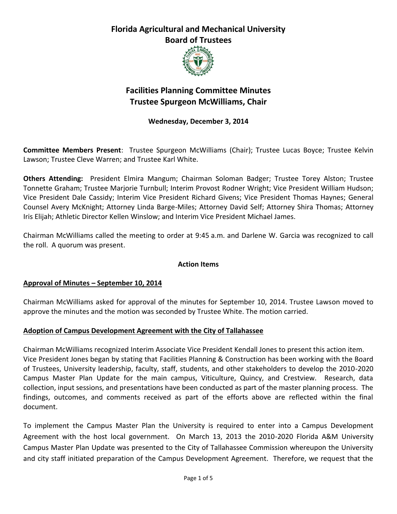

# **Facilities Planning Committee Minutes Trustee Spurgeon McWilliams, Chair**

### **Wednesday, December 3, 2014**

**Committee Members Present**: Trustee Spurgeon McWilliams (Chair); Trustee Lucas Boyce; Trustee Kelvin Lawson; Trustee Cleve Warren; and Trustee Karl White.

**Others Attending:** President Elmira Mangum; Chairman Soloman Badger; Trustee Torey Alston; Trustee Tonnette Graham; Trustee Marjorie Turnbull; Interim Provost Rodner Wright; Vice President William Hudson; Vice President Dale Cassidy; Interim Vice President Richard Givens; Vice President Thomas Haynes; General Counsel Avery McKnight; Attorney Linda Barge-Miles; Attorney David Self; Attorney Shira Thomas; Attorney Iris Elijah; Athletic Director Kellen Winslow; and Interim Vice President Michael James.

Chairman McWilliams called the meeting to order at 9:45 a.m. and Darlene W. Garcia was recognized to call the roll. A quorum was present.

#### **Action Items**

#### **Approval of Minutes – September 10, 2014**

Chairman McWilliams asked for approval of the minutes for September 10, 2014. Trustee Lawson moved to approve the minutes and the motion was seconded by Trustee White. The motion carried.

#### **Adoption of Campus Development Agreement with the City of Tallahassee**

Chairman McWilliams recognized Interim Associate Vice President Kendall Jones to present this action item. Vice President Jones began by stating that Facilities Planning & Construction has been working with the Board of Trustees, University leadership, faculty, staff, students, and other stakeholders to develop the 2010-2020 Campus Master Plan Update for the main campus, Viticulture, Quincy, and Crestview. Research, data collection, input sessions, and presentations have been conducted as part of the master planning process. The findings, outcomes, and comments received as part of the efforts above are reflected within the final document.

To implement the Campus Master Plan the University is required to enter into a Campus Development Agreement with the host local government. On March 13, 2013 the 2010-2020 Florida A&M University Campus Master Plan Update was presented to the City of Tallahassee Commission whereupon the University and city staff initiated preparation of the Campus Development Agreement. Therefore, we request that the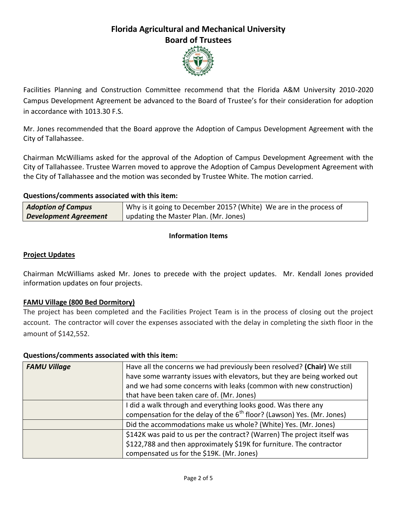

Facilities Planning and Construction Committee recommend that the Florida A&M University 2010-2020 Campus Development Agreement be advanced to the Board of Trustee's for their consideration for adoption in accordance with 1013.30 F.S.

Mr. Jones recommended that the Board approve the Adoption of Campus Development Agreement with the City of Tallahassee.

Chairman McWilliams asked for the approval of the Adoption of Campus Development Agreement with the City of Tallahassee. Trustee Warren moved to approve the Adoption of Campus Development Agreement with the City of Tallahassee and the motion was seconded by Trustee White. The motion carried.

#### **Questions/comments associated with this item:**

| <b>Adoption of Campus</b>    | Why is it going to December 2015? (White) We are in the process of |
|------------------------------|--------------------------------------------------------------------|
| <b>Development Agreement</b> | updating the Master Plan. (Mr. Jones)                              |

### **Information Items**

#### **Project Updates**

Chairman McWilliams asked Mr. Jones to precede with the project updates. Mr. Kendall Jones provided information updates on four projects.

#### **FAMU Village (800 Bed Dormitory)**

The project has been completed and the Facilities Project Team is in the process of closing out the project account. The contractor will cover the expenses associated with the delay in completing the sixth floor in the amount of \$142,552.

#### **Questions/comments associated with this item:**

| <b>FAMU Village</b> | Have all the concerns we had previously been resolved? (Chair) We still<br>have some warranty issues with elevators, but they are being worked out<br>and we had some concerns with leaks (common with new construction)<br>that have been taken care of. (Mr. Jones) |
|---------------------|-----------------------------------------------------------------------------------------------------------------------------------------------------------------------------------------------------------------------------------------------------------------------|
|                     | I did a walk through and everything looks good. Was there any<br>compensation for the delay of the 6 <sup>th</sup> floor? (Lawson) Yes. (Mr. Jones)                                                                                                                   |
|                     | Did the accommodations make us whole? (White) Yes. (Mr. Jones)                                                                                                                                                                                                        |
|                     | \$142K was paid to us per the contract? (Warren) The project itself was<br>\$122,788 and then approximately \$19K for furniture. The contractor<br>compensated us for the \$19K. (Mr. Jones)                                                                          |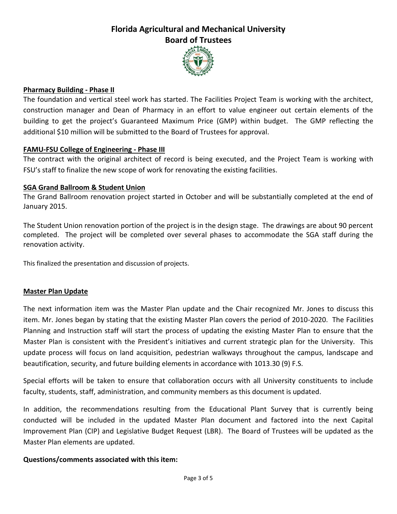

#### **Pharmacy Building - Phase II**

The foundation and vertical steel work has started. The Facilities Project Team is working with the architect, construction manager and Dean of Pharmacy in an effort to value engineer out certain elements of the building to get the project's Guaranteed Maximum Price (GMP) within budget. The GMP reflecting the additional \$10 million will be submitted to the Board of Trustees for approval.

#### **FAMU-FSU College of Engineering - Phase III**

The contract with the original architect of record is being executed, and the Project Team is working with FSU's staff to finalize the new scope of work for renovating the existing facilities.

#### **SGA Grand Ballroom & Student Union**

The Grand Ballroom renovation project started in October and will be substantially completed at the end of January 2015.

The Student Union renovation portion of the project is in the design stage. The drawings are about 90 percent completed. The project will be completed over several phases to accommodate the SGA staff during the renovation activity.

This finalized the presentation and discussion of projects.

#### **Master Plan Update**

The next information item was the Master Plan update and the Chair recognized Mr. Jones to discuss this item. Mr. Jones began by stating that the existing Master Plan covers the period of 2010-2020. The Facilities Planning and Instruction staff will start the process of updating the existing Master Plan to ensure that the Master Plan is consistent with the President's initiatives and current strategic plan for the University. This update process will focus on land acquisition, pedestrian walkways throughout the campus, landscape and beautification, security, and future building elements in accordance with 1013.30 (9) F.S.

Special efforts will be taken to ensure that collaboration occurs with all University constituents to include faculty, students, staff, administration, and community members as this document is updated.

In addition, the recommendations resulting from the Educational Plant Survey that is currently being conducted will be included in the updated Master Plan document and factored into the next Capital Improvement Plan (CIP) and Legislative Budget Request (LBR). The Board of Trustees will be updated as the Master Plan elements are updated.

#### **Questions/comments associated with this item:**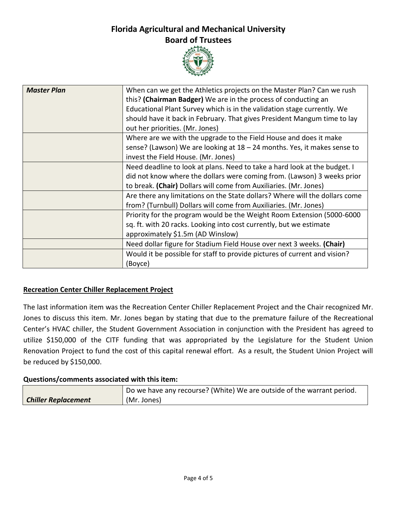

| <b>Master Plan</b> | When can we get the Athletics projects on the Master Plan? Can we rush<br>this? (Chairman Badger) We are in the process of conducting an<br>Educational Plant Survey which is in the validation stage currently. We<br>should have it back in February. That gives President Mangum time to lay<br>out her priorities. (Mr. Jones) |
|--------------------|------------------------------------------------------------------------------------------------------------------------------------------------------------------------------------------------------------------------------------------------------------------------------------------------------------------------------------|
|                    | Where are we with the upgrade to the Field House and does it make                                                                                                                                                                                                                                                                  |
|                    | sense? (Lawson) We are looking at 18 - 24 months. Yes, it makes sense to                                                                                                                                                                                                                                                           |
|                    | invest the Field House. (Mr. Jones)                                                                                                                                                                                                                                                                                                |
|                    | Need deadline to look at plans. Need to take a hard look at the budget. I                                                                                                                                                                                                                                                          |
|                    | did not know where the dollars were coming from. (Lawson) 3 weeks prior                                                                                                                                                                                                                                                            |
|                    | to break. (Chair) Dollars will come from Auxiliaries. (Mr. Jones)                                                                                                                                                                                                                                                                  |
|                    | Are there any limitations on the State dollars? Where will the dollars come                                                                                                                                                                                                                                                        |
|                    | from? (Turnbull) Dollars will come from Auxiliaries. (Mr. Jones)                                                                                                                                                                                                                                                                   |
|                    | Priority for the program would be the Weight Room Extension (5000-6000                                                                                                                                                                                                                                                             |
|                    | sq. ft. with 20 racks. Looking into cost currently, but we estimate                                                                                                                                                                                                                                                                |
|                    | approximately \$1.5m (AD Winslow)                                                                                                                                                                                                                                                                                                  |
|                    | Need dollar figure for Stadium Field House over next 3 weeks. (Chair)                                                                                                                                                                                                                                                              |
|                    | Would it be possible for staff to provide pictures of current and vision?                                                                                                                                                                                                                                                          |
|                    | (Boyce)                                                                                                                                                                                                                                                                                                                            |

#### **Recreation Center Chiller Replacement Project**

The last information item was the Recreation Center Chiller Replacement Project and the Chair recognized Mr. Jones to discuss this item. Mr. Jones began by stating that due to the premature failure of the Recreational Center's HVAC chiller, the Student Government Association in conjunction with the President has agreed to utilize \$150,000 of the CITF funding that was appropriated by the Legislature for the Student Union Renovation Project to fund the cost of this capital renewal effort. As a result, the Student Union Project will be reduced by \$150,000.

#### **Questions/comments associated with this item:**

|                            | Do we have any recourse? (White) We are outside of the warrant period. |
|----------------------------|------------------------------------------------------------------------|
| <b>Chiller Replacement</b> | (Mr. Jones)                                                            |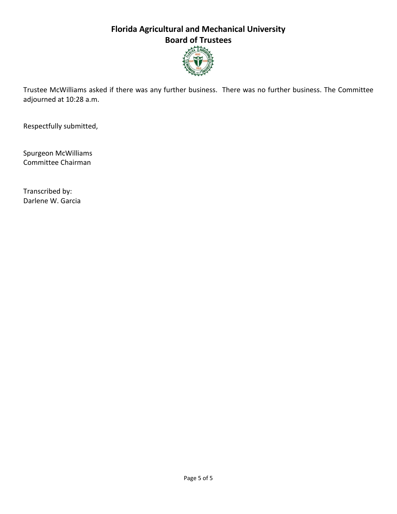

Trustee McWilliams asked if there was any further business. There was no further business. The Committee adjourned at 10:28 a.m.

Respectfully submitted,

Spurgeon McWilliams Committee Chairman

Transcribed by: Darlene W. Garcia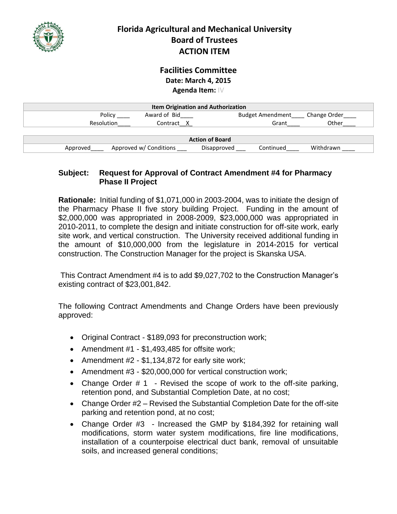

## **Facilities Committee Date: March 4, 2015 Agenda Item:** IV

| <b>Item Origination and Authorization</b> |                        |                          |              |  |
|-------------------------------------------|------------------------|--------------------------|--------------|--|
| Policy                                    | Award of Bid           | <b>Budget Amendment</b>  | Change Order |  |
| Resolution                                | Contract X             | Grant                    | Other        |  |
|                                           |                        |                          |              |  |
| <b>Action of Board</b>                    |                        |                          |              |  |
| Approved                                  | Approved w/ Conditions | Continued<br>Disapproved | Withdrawn    |  |

#### **Subject: Request for Approval of Contract Amendment #4 for Pharmacy Phase II Project**

**Rationale:** Initial funding of \$1,071,000 in 2003-2004, was to initiate the design of the Pharmacy Phase II five story building Project. Funding in the amount of \$2,000,000 was appropriated in 2008-2009, \$23,000,000 was appropriated in 2010-2011, to complete the design and initiate construction for off-site work, early site work, and vertical construction. The University received additional funding in the amount of \$10,000,000 from the legislature in 2014-2015 for vertical construction. The Construction Manager for the project is Skanska USA.

This Contract Amendment #4 is to add \$9,027,702 to the Construction Manager's existing contract of \$23,001,842.

The following Contract Amendments and Change Orders have been previously approved:

- Original Contract \$189,093 for preconstruction work;
- Amendment  $#1 $1,493,485$  for offsite work;
- Amendment  $#2 $1,134,872$  for early site work;
- Amendment #3 \$20,000,000 for vertical construction work;
- Change Order  $\#$  1 Revised the scope of work to the off-site parking, retention pond, and Substantial Completion Date, at no cost;
- Change Order #2 Revised the Substantial Completion Date for the off-site parking and retention pond, at no cost;
- Change Order #3 Increased the GMP by \$184,392 for retaining wall modifications, storm water system modifications, fire line modifications, installation of a counterpoise electrical duct bank, removal of unsuitable soils, and increased general conditions;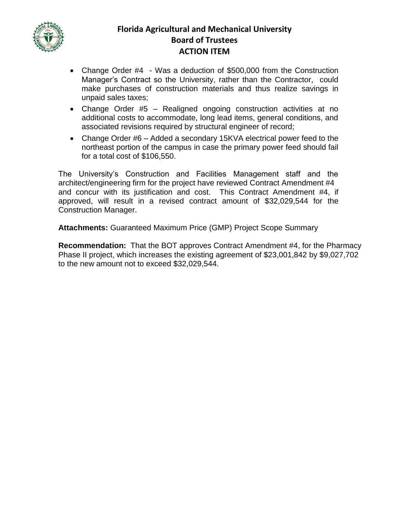

- Change Order #4 Was a deduction of \$500,000 from the Construction Manager's Contract so the University, rather than the Contractor, could make purchases of construction materials and thus realize savings in unpaid sales taxes;
- Change Order #5 Realigned ongoing construction activities at no additional costs to accommodate, long lead items, general conditions, and associated revisions required by structural engineer of record;
- Change Order #6 Added a secondary 15KVA electrical power feed to the northeast portion of the campus in case the primary power feed should fail for a total cost of \$106,550.

The University's Construction and Facilities Management staff and the architect/engineering firm for the project have reviewed Contract Amendment #4 and concur with its justification and cost. This Contract Amendment #4, if approved, will result in a revised contract amount of \$32,029,544 for the Construction Manager.

**Attachments:** Guaranteed Maximum Price (GMP) Project Scope Summary

**Recommendation:** That the BOT approves Contract Amendment #4, for the Pharmacy Phase II project, which increases the existing agreement of \$23,001,842 by \$9,027,702 to the new amount not to exceed \$32,029,544.